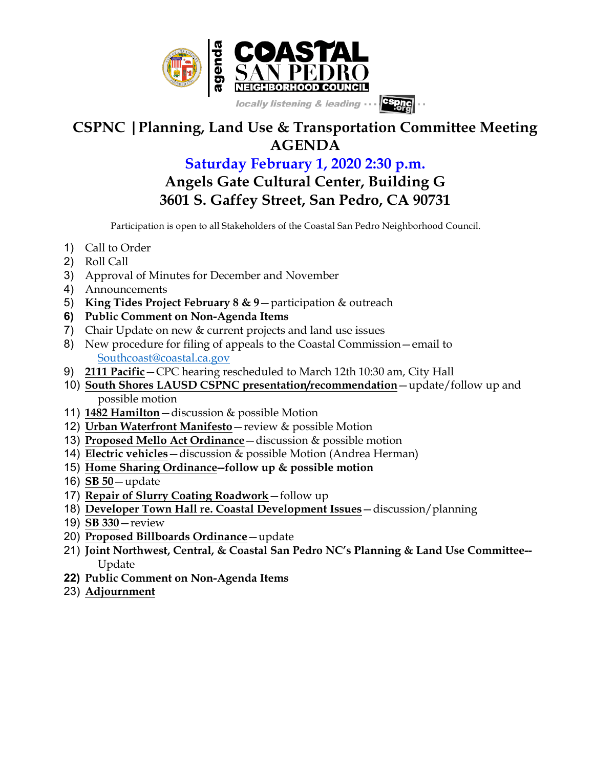

## **CSPNC |Planning, Land Use & Transportation Committee Meeting AGENDA**

## **Saturday February 1, 2020 2:30 p.m. Angels Gate Cultural Center, Building G**

**3601 S. Gaffey Street, San Pedro, CA 90731**

Participation is open to all Stakeholders of the Coastal San Pedro Neighborhood Council.

- 1) Call to Order
- 2) Roll Call
- 3) Approval of Minutes for December and November
- 4) Announcements
- 5) **King Tides Project February 8 & 9**—participation & outreach
- **6) Public Comment on Non-Agenda Items**
- 7) Chair Update on new & current projects and land use issues
- 8) New procedure for filing of appeals to the Coastal Commission—email to Southcoast@coastal.ca.gov
- 9) **2111 Pacific**—CPC hearing rescheduled to March 12th 10:30 am, City Hall
- 10) **South Shores LAUSD CSPNC presentation/recommendation**—update/follow up and possible motion
- 11) **1482 Hamilton**—discussion & possible Motion
- 12) **Urban Waterfront Manifesto**—review & possible Motion
- 13) **Proposed Mello Act Ordinance**—discussion & possible motion
- 14) **Electric vehicles**—discussion & possible Motion (Andrea Herman)
- 15) **Home Sharing Ordinance--follow up & possible motion**
- 16) **SB 50**—update
- 17) **Repair of Slurry Coating Roadwork**—follow up
- 18) **Developer Town Hall re. Coastal Development Issues**—discussion/planning
- 19) **SB 330**—review
- 20) **Proposed Billboards Ordinance**—update
- 21) **Joint Northwest, Central, & Coastal San Pedro NC's Planning & Land Use Committee--** Update
- **22) Public Comment on Non-Agenda Items**
- 23) **Adjournment**